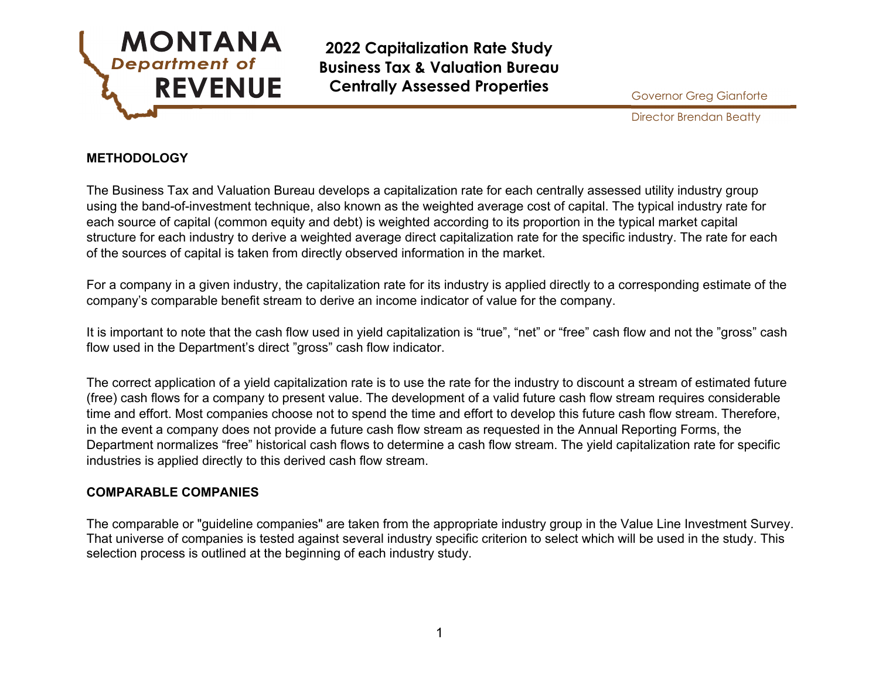

Director Brendan Beatty

#### **METHODOLOGY**

The Business Tax and Valuation Bureau develops a capitalization rate for each centrally assessed utility industry group using the band-of-investment technique, also known as the weighted average cost of capital. The typical industry rate for each source of capital (common equity and debt) is weighted according to its proportion in the typical market capital structure for each industry to derive a weighted average direct capitalization rate for the specific industry. The rate for each of the sources of capital is taken from directly observed information in the market.

For a company in a given industry, the capitalization rate for its industry is applied directly to a corresponding estimate of the company's comparable benefit stream to derive an income indicator of value for the company.

It is important to note that the cash flow used in yield capitalization is "true", "net" or "free" cash flow and not the "gross" cash flow used in the Department's direct "gross" cash flow indicator.

The correct application of a yield capitalization rate is to use the rate for the industry to discount a stream of estimated future (free) cash flows for a company to present value. The development of a valid future cash flow stream requires considerable time and effort. Most companies choose not to spend the time and effort to develop this future cash flow stream. Therefore, in the event a company does not provide a future cash flow stream as requested in the Annual Reporting Forms, the Department normalizes "free" historical cash flows to determine a cash flow stream. The yield capitalization rate for specific industries is applied directly to this derived cash flow stream.

#### **COMPARABLE COMPANIES**

The comparable or "guideline companies" are taken from the appropriate industry group in the Value Line Investment Survey. That universe of companies is tested against several industry specific criterion to select which will be used in the study. This selection process is outlined at the beginning of each industry study.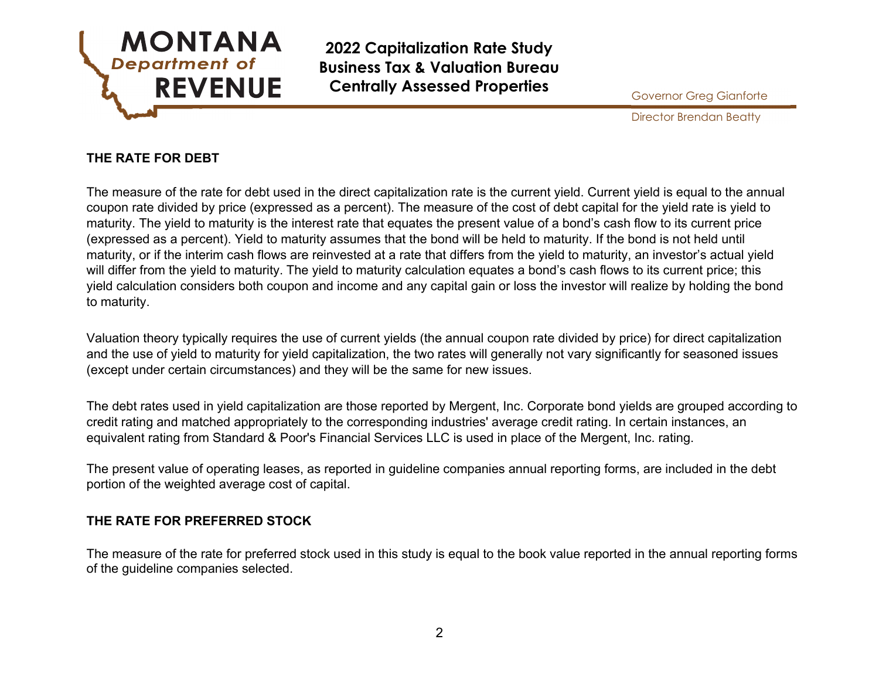

Director Brendan Beatty

## **THE RATE FOR DEBT**

The measure of the rate for debt used in the direct capitalization rate is the current yield. Current yield is equal to the annual coupon rate divided by price (expressed as a percent). The measure of the cost of debt capital for the yield rate is yield to maturity. The yield to maturity is the interest rate that equates the present value of a bond's cash flow to its current price (expressed as a percent). Yield to maturity assumes that the bond will be held to maturity. If the bond is not held until maturity, or if the interim cash flows are reinvested at a rate that differs from the yield to maturity, an investor's actual yield will differ from the yield to maturity. The yield to maturity calculation equates a bond's cash flows to its current price; this yield calculation considers both coupon and income and any capital gain or loss the investor will realize by holding the bond to maturity.

Valuation theory typically requires the use of current yields (the annual coupon rate divided by price) for direct capitalization and the use of yield to maturity for yield capitalization, the two rates will generally not vary significantly for seasoned issues (except under certain circumstances) and they will be the same for new issues.

The debt rates used in yield capitalization are those reported by Mergent, Inc. Corporate bond yields are grouped according to credit rating and matched appropriately to the corresponding industries' average credit rating. In certain instances, an equivalent rating from Standard & Poor's Financial Services LLC is used in place of the Mergent, Inc. rating.

The present value of operating leases, as reported in guideline companies annual reporting forms, are included in the debt portion of the weighted average cost of capital.

#### **THE RATE FOR PREFERRED STOCK**

The measure of the rate for preferred stock used in this study is equal to the book value reported in the annual reporting forms of the guideline companies selected.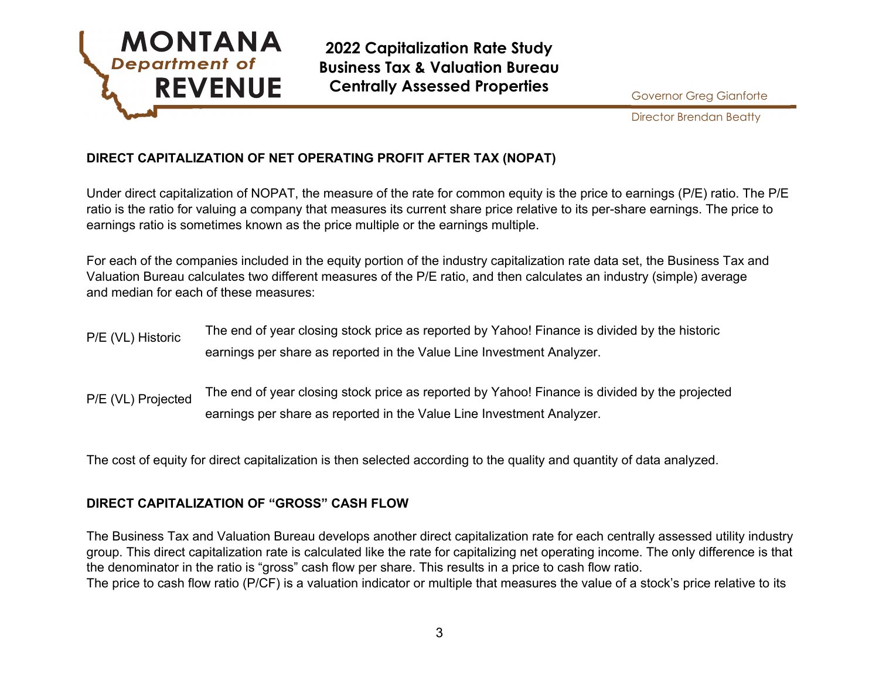

Director Brendan Beatty

# **DIRECT CAPITALIZATION OF NET OPERATING PROFIT AFTER TAX (NOPAT)**

Under direct capitalization of NOPAT, the measure of the rate for common equity is the price to earnings (P/E) ratio. The P/E ratio is the ratio for valuing a company that measures its current share price relative to its per-share earnings. The price to earnings ratio is sometimes known as the price multiple or the earnings multiple.

For each of the companies included in the equity portion of the industry capitalization rate data set, the Business Tax and Valuation Bureau calculates two different measures of the P/E ratio, and then calculates an industry (simple) average and median for each of these measures:

- P/E (VL) Historic The end of year closing stock price as reported by Yahoo! Finance is divided by the historic earnings per share as reported in the Value Line Investment Analyzer.
- P/E (VL) Projected The end of year closing stock price as reported by Yahoo! Finance is divided by the projected earnings per share as reported in the Value Line Investment Analyzer.

The cost of equity for direct capitalization is then selected according to the quality and quantity of data analyzed.

### **DIRECT CAPITALIZATION OF "GROSS" CASH FLOW**

The Business Tax and Valuation Bureau develops another direct capitalization rate for each centrally assessed utility industry group. This direct capitalization rate is calculated like the rate for capitalizing net operating income. The only difference is that the denominator in the ratio is "gross" cash flow per share. This results in a price to cash flow ratio. The price to cash flow ratio (P/CF) is a valuation indicator or multiple that measures the value of a stock's price relative to its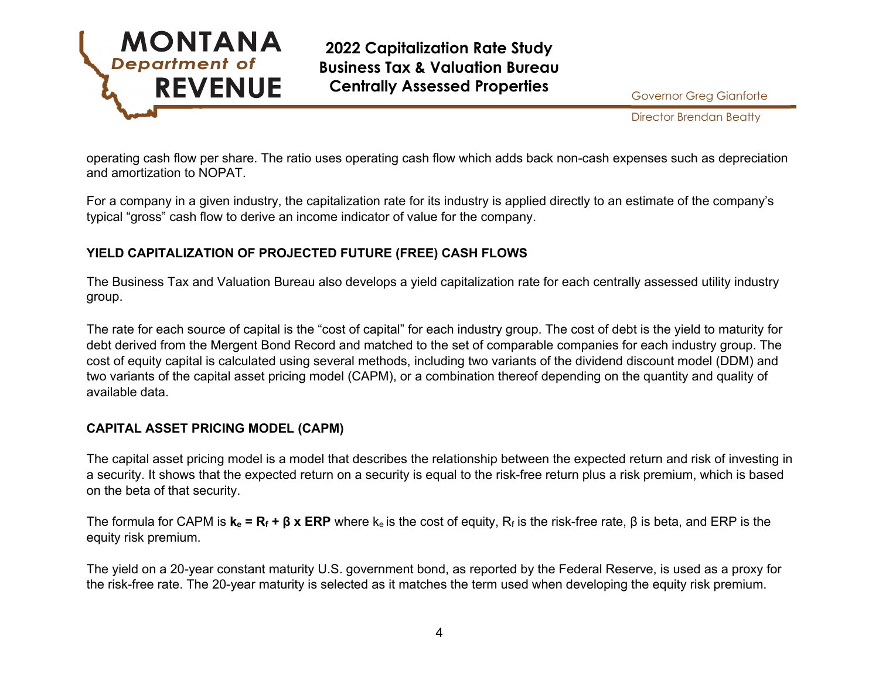

Director Brendan Beatty

operating cash flow per share. The ratio uses operating cash flow which adds back non-cash expenses such as depreciation and amortization to NOPAT.

For a company in a given industry, the capitalization rate for its industry is applied directly to an estimate of the company's typical "gross" cash flow to derive an income indicator of value for the company.

## **YIELD CAPITALIZATION OF PROJECTED FUTURE (FREE) CASH FLOWS**

The Business Tax and Valuation Bureau also develops a yield capitalization rate for each centrally assessed utility industry group.

The rate for each source of capital is the "cost of capital" for each industry group. The cost of debt is the yield to maturity for debt derived from the Mergent Bond Record and matched to the set of comparable companies for each industry group. The cost of equity capital is calculated using several methods, including two variants of the dividend discount model (DDM) and two variants of the capital asset pricing model (CAPM), or a combination thereof depending on the quantity and quality of available data.

### **CAPITAL ASSET PRICING MODEL (CAPM)**

The capital asset pricing model is a model that describes the relationship between the expected return and risk of investing in a security. It shows that the expected return on a security is equal to the risk-free return plus a risk premium, which is based on the beta of that security.

The formula for CAPM is  $\mathbf{k}_e = \mathbf{R}_f + \mathbf{\beta} \times \mathbf{ERP}$  where  $\mathbf{k}_e$  is the cost of equity,  $\mathbf{R}_f$  is the risk-free rate, β is beta, and ERP is the equity risk premium.

The yield on a 20-year constant maturity U.S. government bond, as reported by the Federal Reserve, is used as a proxy for the risk-free rate. The 20-year maturity is selected as it matches the term used when developing the equity risk premium.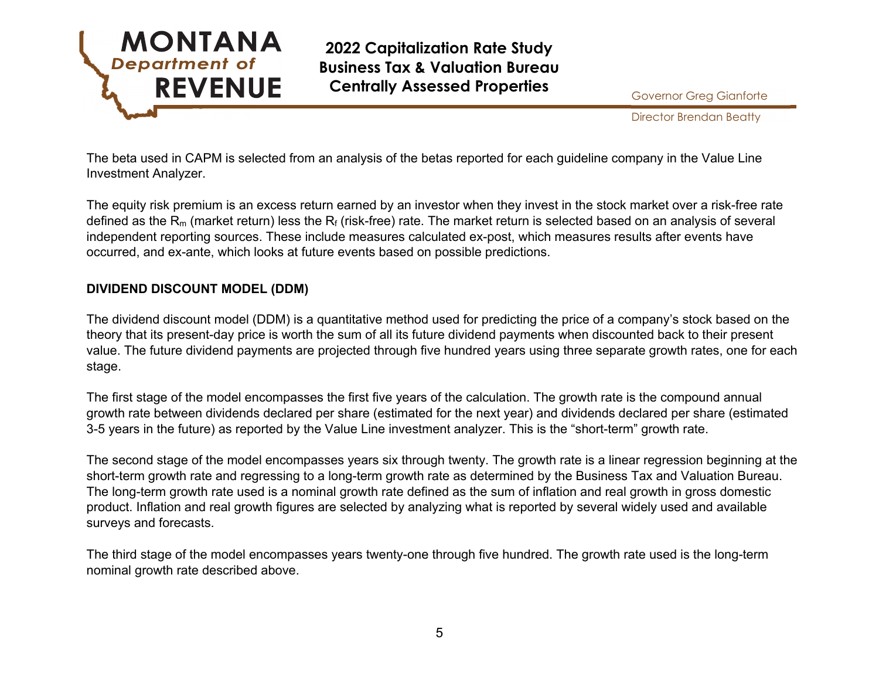

Director Brendan Beatty

The beta used in CAPM is selected from an analysis of the betas reported for each guideline company in the Value Line Investment Analyzer.

The equity risk premium is an excess return earned by an investor when they invest in the stock market over a risk-free rate defined as the R<sub>m</sub> (market return) less the R<sub>f</sub> (risk-free) rate. The market return is selected based on an analysis of several independent reporting sources. These include measures calculated ex-post, which measures results after events have occurred, and ex-ante, which looks at future events based on possible predictions.

### **DIVIDEND DISCOUNT MODEL (DDM)**

The dividend discount model (DDM) is a quantitative method used for predicting the price of a company's stock based on the theory that its present-day price is worth the sum of all its future dividend payments when discounted back to their present value. The future dividend payments are projected through five hundred years using three separate growth rates, one for each stage.

The first stage of the model encompasses the first five years of the calculation. The growth rate is the compound annual growth rate between dividends declared per share (estimated for the next year) and dividends declared per share (estimated 3-5 years in the future) as reported by the Value Line investment analyzer. This is the "short-term" growth rate.

The second stage of the model encompasses years six through twenty. The growth rate is a linear regression beginning at the short-term growth rate and regressing to a long-term growth rate as determined by the Business Tax and Valuation Bureau. The long-term growth rate used is a nominal growth rate defined as the sum of inflation and real growth in gross domestic product. Inflation and real growth figures are selected by analyzing what is reported by several widely used and available surveys and forecasts.

The third stage of the model encompasses years twenty-one through five hundred. The growth rate used is the long-term nominal growth rate described above.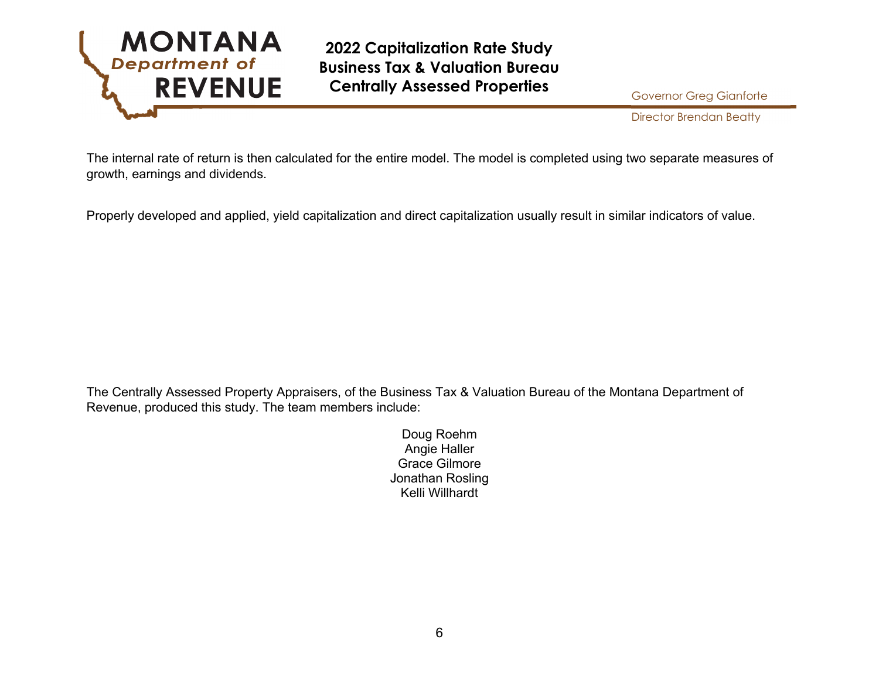

Director Brendan Beatty

The internal rate of return is then calculated for the entire model. The model is completed using two separate measures of growth, earnings and dividends.

Properly developed and applied, yield capitalization and direct capitalization usually result in similar indicators of value.

The Centrally Assessed Property Appraisers, of the Business Tax & Valuation Bureau of the Montana Department of Revenue, produced this study. The team members include:

> Doug Roehm Angie Haller Grace Gilmore Jonathan Rosling Kelli Willhardt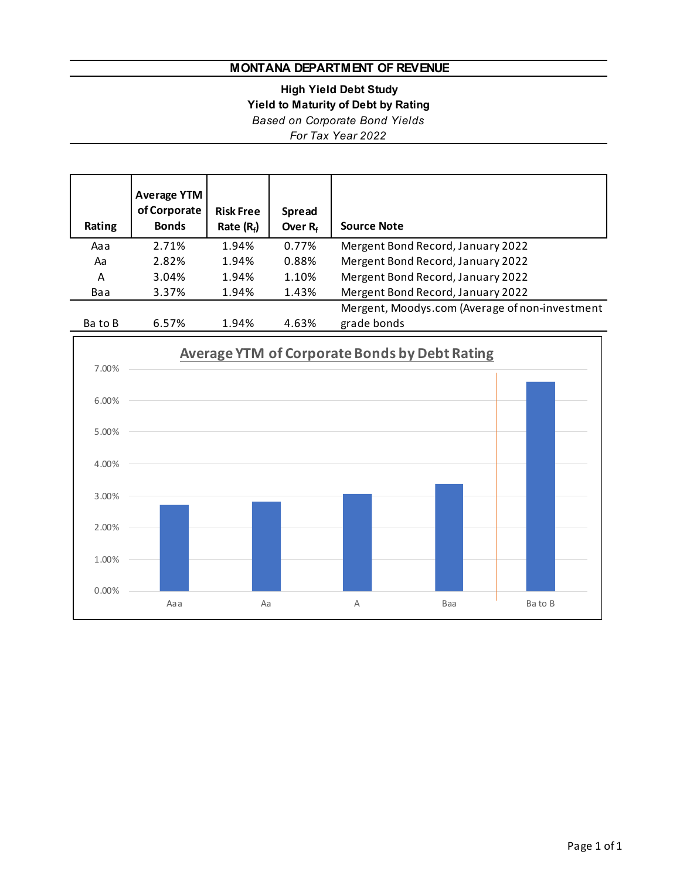## **MONTANA DEPARTMENT OF REVENUE**

**High Yield Debt Study**

**Yield to Maturity of Debt by Rating**

*Based on Corporate Bond Yields*

*For Tax Year 2022*

| Rating  | <b>Average YTM</b><br>of Corporate<br><b>Bonds</b> | <b>Risk Free</b><br>Rate $(R_f)$ | <b>Spread</b><br>Over $R_f$ | <b>Source Note</b>                             |
|---------|----------------------------------------------------|----------------------------------|-----------------------------|------------------------------------------------|
| Aaa     | 2.71%                                              | 1.94%                            | 0.77%                       | Mergent Bond Record, January 2022              |
| Aa      | 2.82%                                              | 1.94%                            | 0.88%                       | Mergent Bond Record, January 2022              |
| Α       | 3.04%                                              | 1.94%                            | 1.10%                       | Mergent Bond Record, January 2022              |
| Baa     | 3.37%                                              | 1.94%                            | 1.43%                       | Mergent Bond Record, January 2022              |
|         |                                                    |                                  |                             | Mergent, Moodys.com (Average of non-investment |
| Ba to B | 6.57%                                              | 1.94%                            | 4.63%                       | grade bonds                                    |

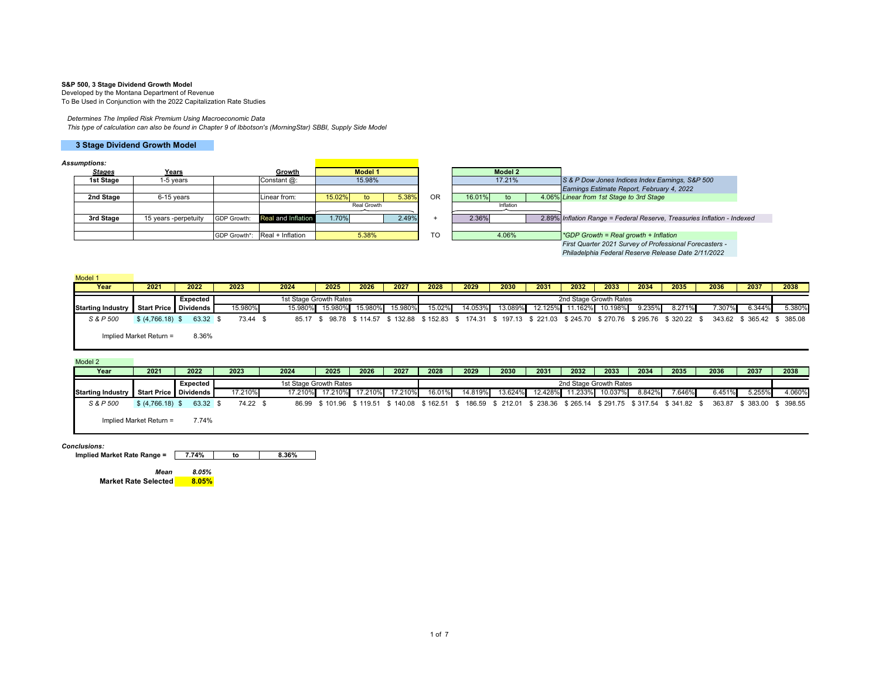#### **S&P 500, 3 Stage Dividend Growth Model**

Developed by the Montana Department of Revenue To Be Used in Conjunction with the 2022 Capitalization Rate Studies

#### *Determines The Implied Risk Premium Using Macroeconomic Data*

*This type of calculation can also be found in Chapter 9 of Ibbotson's (MorningStar) SBBI, Supply Side Model*

#### **3 Stage Dividend Growth Model**

#### *Assumptions:*

| ssumpuons.    |                      |                    |                               |        |                |       |           |              |                                                                         |
|---------------|----------------------|--------------------|-------------------------------|--------|----------------|-------|-----------|--------------|-------------------------------------------------------------------------|
| <b>Stages</b> | Years                |                    | Growth                        |        | <b>Model 1</b> |       |           | Model 2      |                                                                         |
| 1st Stage     | 1-5 vears            |                    | Constant @:                   |        | 15.98%         |       |           | 17.21%       | S & P Dow Jones Indices Index Earnings, S&P 500                         |
|               |                      |                    |                               |        |                |       |           |              | Earnings Estimate Report, February 4, 2022                              |
| 2nd Stage     | 6-15 vears           |                    | Linear from:                  | 15.02% | to             | 5.38% | <b>OR</b> | 16.01%<br>to | 4.06% Linear from 1st Stage to 3rd Stage                                |
|               |                      |                    |                               |        | Real Growth    |       |           | Inflation    |                                                                         |
| 3rd Stage     | 15 years -perpetuity | <b>GDP Growth:</b> | Real and Inflation            | 1.70%  |                | 2.49% |           | 2.36%        | 2.89% Inflation Range = Federal Reserve, Treasuries Inflation - Indexed |
|               |                      |                    |                               |        |                |       |           |              |                                                                         |
|               |                      |                    | GDP Growth*: Real + Inflation |        | 5.38%          |       | <b>TO</b> | 4.06%        | *GDP Growth = Real growth + Inflation                                   |
|               |                      |                    |                               |        |                |       |           |              | First Quarter 2021 Survey of Professional Forecasters -                 |

*First Quarter 2021 Survey of Professional Forecasters - Philadelphia Federal Reserve Release Date 2/11/2022*

| Model 1                  |                         |          |          |         |                        |          |         |        |         |                                                                                                                       |         |      |                        |        |        |        |        |                            |
|--------------------------|-------------------------|----------|----------|---------|------------------------|----------|---------|--------|---------|-----------------------------------------------------------------------------------------------------------------------|---------|------|------------------------|--------|--------|--------|--------|----------------------------|
| Year                     | 2021                    | 2022     | 2023     | 2024    | 2025                   | 2026     | 2027    | 2028   | 2029    | 2030                                                                                                                  | 2031    | 2032 | 2033                   | 2034   | 2035   | 2036   | 2037   | 2038                       |
|                          |                         | Expected |          |         | 1st Stage Growth Rates |          |         |        |         |                                                                                                                       |         |      | 2nd Stage Growth Rates |        |        |        |        |                            |
| <b>Starting Industry</b> | Start Price Dividends   |          | 15.980%  | 15.980% | 15.980%                | 15.980%I | 15.980% | 15.02% | 14.053% | 13.089%                                                                                                               | 12.125% |      | 11.162% 10.198%        | 9.235% | 8.271% | 7.307% | 6.344% | 5.380%                     |
| S & P 500                | $$ (4,766.18)$ \$       | 63.32 \$ | 73.44 \$ |         |                        |          |         |        |         | 85.17 \$ 98.78 \$ 114.57 \$ 132.88 \$ 152.83 \$ 174.31 \$ 197.13 \$ 221.03 \$ 245.70 \$ 270.76 \$ 295.76 \$ 320.22 \$ |         |      |                        |        |        |        |        | 343.62 \$ 365.42 \$ 385.08 |
|                          | Implied Market Return = | 8.36%    |          |         |                        |          |         |        |         |                                                                                                                       |         |      |                        |        |        |        |        |                            |

#### Model 2

| Year                     | 2021                    | 2022     | 2023     | 2024                   | 2025 | 2026                    | 2027 | 2028   | 2029 | 2030            | 2031    | 2032                   | 2033    | 2034   | 2035                                                                                                        | 2036   | 2037                       | 2038   |
|--------------------------|-------------------------|----------|----------|------------------------|------|-------------------------|------|--------|------|-----------------|---------|------------------------|---------|--------|-------------------------------------------------------------------------------------------------------------|--------|----------------------------|--------|
|                          |                         | Expected |          | 1st Stage Growth Rates |      |                         |      |        |      |                 |         | 2nd Stage Growth Rates |         |        |                                                                                                             |        |                            |        |
| <b>Starting Industry</b> | Start Price   Dividends |          | 17.210%  | 17.210%                |      | 17.210% 17.210% 17.210% |      | 16.01% |      | 14.819% 13.624% | 12.428% | 11.233%                | 10.037% | 8.842% | $7.646\%$                                                                                                   | 6.451% | 5.255%                     | 4.060% |
| S & P 500                | $$ (4,766.18)$ \$       | 63.32 \$ | 74.22 \$ |                        |      |                         |      |        |      |                 |         |                        |         |        | 86.99 \$101.96 \$119.51 \$140.08 \$162.51 \$186.59 \$212.01 \$238.36 \$265.14 \$291.75 \$317.54 \$341.82 \$ |        | 363.87 \$ 383.00 \$ 398.55 |        |
|                          | Implied Market Return = | 7.74%    |          |                        |      |                         |      |        |      |                 |         |                        |         |        |                                                                                                             |        |                            |        |

#### *Conclusions:*

**Implied Market Rate Range = 7.74% to 8.36%**

*Mean 8.05%* $8.05%$ **Market Rate Selected**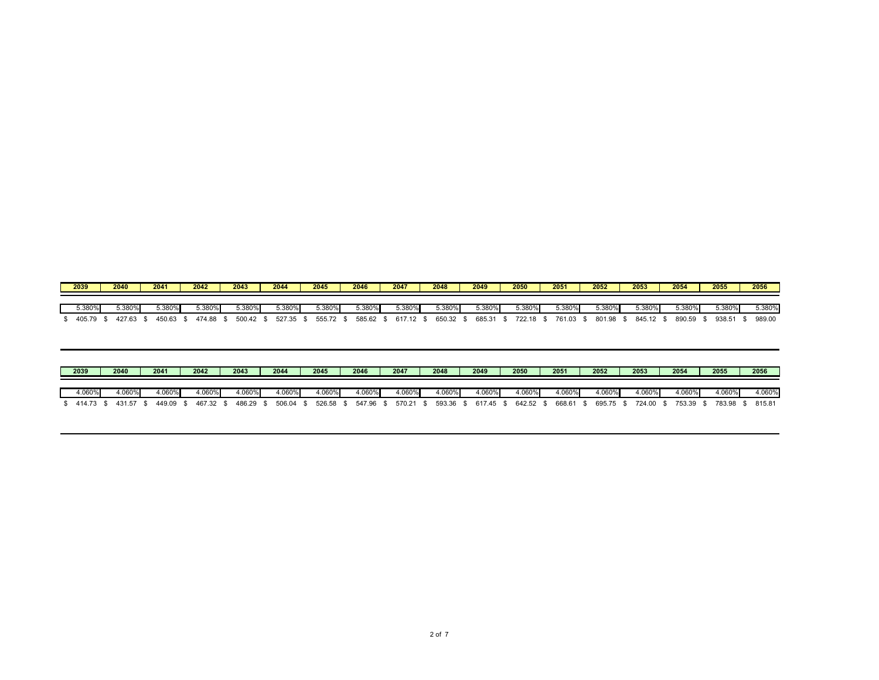| 2039      | 2040   | 2041   | 2042    | 2043      | 2044      | 2045   | 2046   | 2047   | 2048   | 2049   | 2050   | 2051   | 2052   | 2053      | 2054      | 2055      | 2056   |
|-----------|--------|--------|---------|-----------|-----------|--------|--------|--------|--------|--------|--------|--------|--------|-----------|-----------|-----------|--------|
|           |        |        |         |           |           |        |        |        |        |        |        |        |        |           |           |           |        |
| 5.380%    | 5.380% | 5.380% | ″380%.د | $3.380\%$ | $3.380\%$ | 5.380% | 5.380% | 5.380% | 5.380% | 5.380% | 5.380% | 5.380% | 5.380% | $5.380\%$ | $5.380\%$ | $5.380\%$ | 5.380% |
| 405.79 \$ | 427.63 | 450.63 | 474.88  | 500.42    | 527.35    | 555.72 | 585.62 | 617.12 | 650.32 | 685.31 | 722.18 | 761.03 | 801.98 | 845.12 \$ | 890.59    | 938.51    | 989.00 |

| 2039                | 2040   | 2041      | 2042      | 2043    | 2044   | 2045      | 2046      | 2047   | 2048      | 2049      | 2050               | 2051      | 2052 |           | 2053      | 2054      | 2055      | 2056   |
|---------------------|--------|-----------|-----------|---------|--------|-----------|-----------|--------|-----------|-----------|--------------------|-----------|------|-----------|-----------|-----------|-----------|--------|
| 4.060%              | 1.060% | 4.060%    | .060%     | $060\%$ | 4.060% | 4.060%    | 4.060%    | 4.060% | 4.060%    | $0.060\%$ | 4.060%             | 4.060%    |      | 1.060%    | $1.060\%$ | $1.060\%$ | 4.060%    | 4.060% |
| 414.73 \$ 431.57 \$ |        | 449.09 \$ | 467.32 \$ | 486.29  | 506.04 | 526.58 \$ | 547.96 \$ | 570.21 | 593.36 \$ | 617.45 \$ | $642.52$ $\degree$ | 668.61 \$ |      | 695.75 \$ | 724.00 \$ | 753.39 \$ | 783.98 \$ | 815.81 |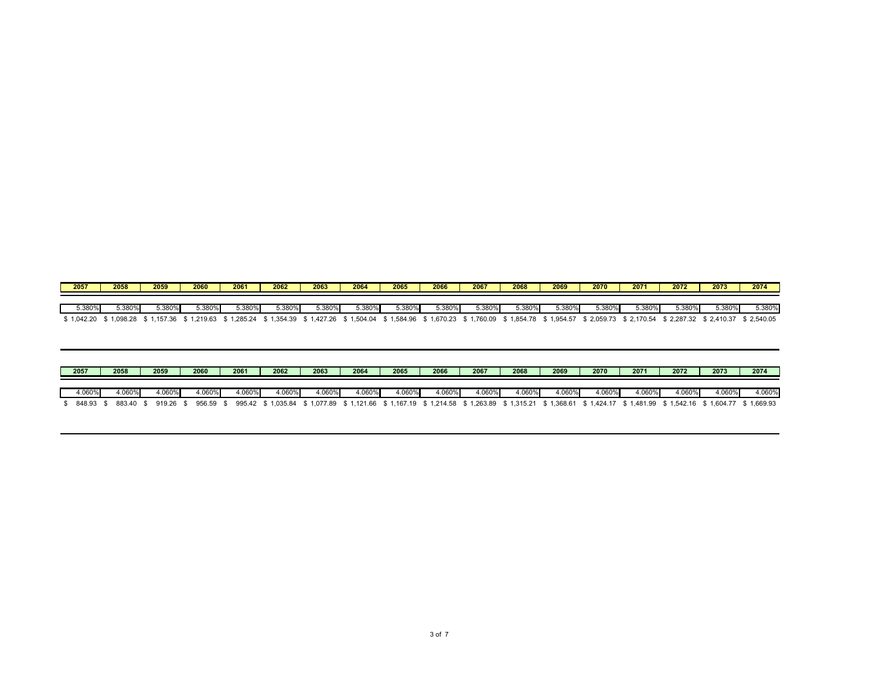| 2057     | 2058     | 2059    | 2060     | 2061      | 2062     | 2063     | 2064     | 2065     | 2066     | 2067     | 2068     | 2069     | 2070     | 2071     | 2072     | 2073       | 2074       |
|----------|----------|---------|----------|-----------|----------|----------|----------|----------|----------|----------|----------|----------|----------|----------|----------|------------|------------|
|          |          |         |          |           |          |          |          |          |          |          |          |          |          |          |          |            |            |
| 5.380%   | 5.380%   | 5.380%  | 5.380%   | $3.380\%$ | 3.380%   | 5.380%   | 5.380%l  | 5.380%   | 5.380%   | 5.380%   | 5.380%   | 5.380%   | 5.380%   | 5.380%   | 5.380%   | 5.380%     | 5.380%     |
| 1,042.20 | 1,098.28 | ,157.36 | 1,219.63 | 1,285.24  | 1,354.39 | 1,427.26 | 1,504.04 | 1,584.96 | 1,670.23 | 1,760.09 | 1,854.78 | 1,954.57 | 2,059.73 | 2,170.54 | 2,287.32 | \$2,410.37 | \$2,540.05 |

| 2057      | 2058      | 2059      | 2060      | 2061   | 2062   | 2063   | 2064   | 2065   | 2066   | 2067   | 2068   | 2069   | 2070   | 2071    | 2072   | 2073                                                                                                                                                  | 2074   |
|-----------|-----------|-----------|-----------|--------|--------|--------|--------|--------|--------|--------|--------|--------|--------|---------|--------|-------------------------------------------------------------------------------------------------------------------------------------------------------|--------|
| 4.060%    | 4.060%    | 1.060%l   | .060%     | 1.060% | 4.060% | 4.060% | 4.060% | 4.060% | 4.060% | 1.060% | 4.060% | 4.060% | 4.060% | l.060%l | 1.060% | 4.060%                                                                                                                                                | 4.060% |
| 848.93 \$ | 883.40 \$ | 919.26 \$ | 956.59 \$ |        |        |        |        |        |        |        |        |        |        |         |        | 995.42 \$1,035.84 \$1,077.89 \$1,121.66 \$1,167.19 \$1,214.58 \$1,263.89 \$1,315.21 \$1,368.61 \$1,424.17 \$1,481.99 \$1,542.16 \$1,604.77 \$1,669.93 |        |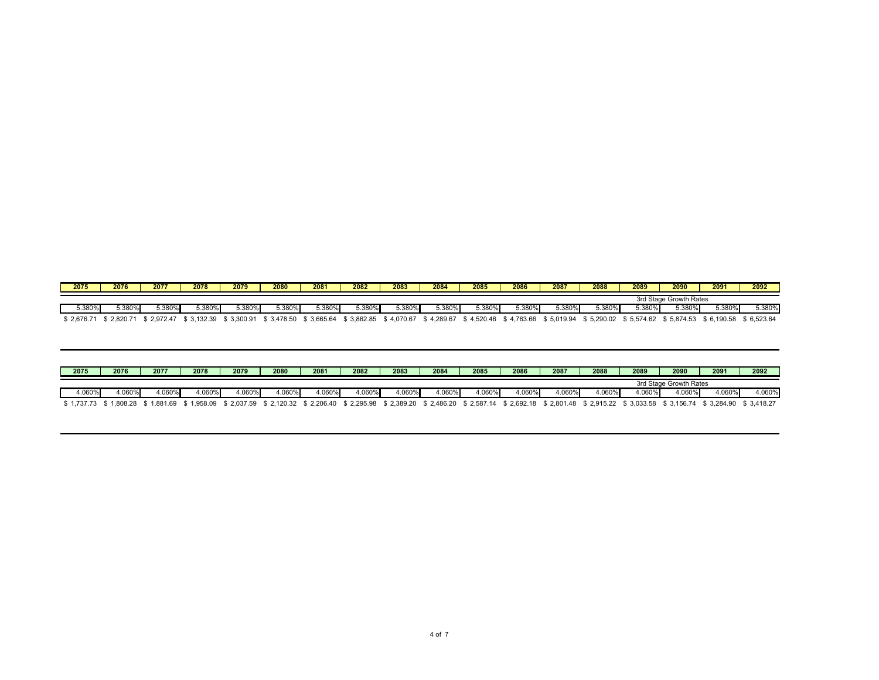| 2075       | 2076          | 2077     | 2078     | 2079     | 2080     | 2081      | 2082     | 2083       | 2084     | 2085     | 2086      | 2087       | 2088     | 2089     | 2090                   | 2091       | 2092       |
|------------|---------------|----------|----------|----------|----------|-----------|----------|------------|----------|----------|-----------|------------|----------|----------|------------------------|------------|------------|
|            |               |          |          |          |          |           |          |            |          |          |           |            |          |          | 3rd Stage Growth Rates |            |            |
| 5.380%     | <b>5.380%</b> | 5.380%   | 5.380%   | -380%،د  | 5.380%   | $5.380\%$ | 5.380%   | 380%،ز     | 5.380%   | 5.380%   | $5.380\%$ | 5.380%     | 380%     | 5.380%   | 5.380%                 | 3.380%     | 5.380%     |
| } 2,676.71 | 2.820.71      | 2.972.47 | 3.132.39 | 3.300.91 | 3.478.50 | 3.665.64  | 3.862.85 | \$4,070.67 | 4.289.67 | 4.520.46 | 4.763.66  | \$5.019.94 | 5.290.02 | 5.574.62 | \$5,874.53             | \$6.190.58 | \$6.523.64 |

| 2075   | 2076            | 2077                                        | 2078  | 2079                      | 2080   | 2081   | 2082  | 2083   | 2084  | 2085  | 2086   | 2087   | 2088   | 2089    | 2090                   | 2091                                                                                                                                           | 2092   |
|--------|-----------------|---------------------------------------------|-------|---------------------------|--------|--------|-------|--------|-------|-------|--------|--------|--------|---------|------------------------|------------------------------------------------------------------------------------------------------------------------------------------------|--------|
|        |                 |                                             |       |                           |        |        |       |        |       |       |        |        |        |         | 3rd Stage Growth Rates |                                                                                                                                                |        |
| 1.060% | $4.060^{\circ}$ | 060%،                                       | .060% | .060%                     | 4.060% | 4.060% | 060%، | 4.060% | .060% | .060% | 4.060% | 4.060% | 1.060% | ∔.060%∤ | $.060\%$               | 1.060%                                                                                                                                         | 4.060% |
|        |                 | \$1.737.73 \$1.808.28 \$1.881.69 \$1.958.09 |       | $\frac{1}{2}$ \$ 2.037.59 |        |        |       |        |       |       |        |        |        |         |                        | \$2,120.32 \$2,206.40 \$2,295.98 \$2,389.20 \$2,486.20 \$2,587.14 \$2,692.18 \$2,801.48 \$2,915.22 \$3,033.58 \$3,156.74 \$3,284.90 \$3,418.27 |        |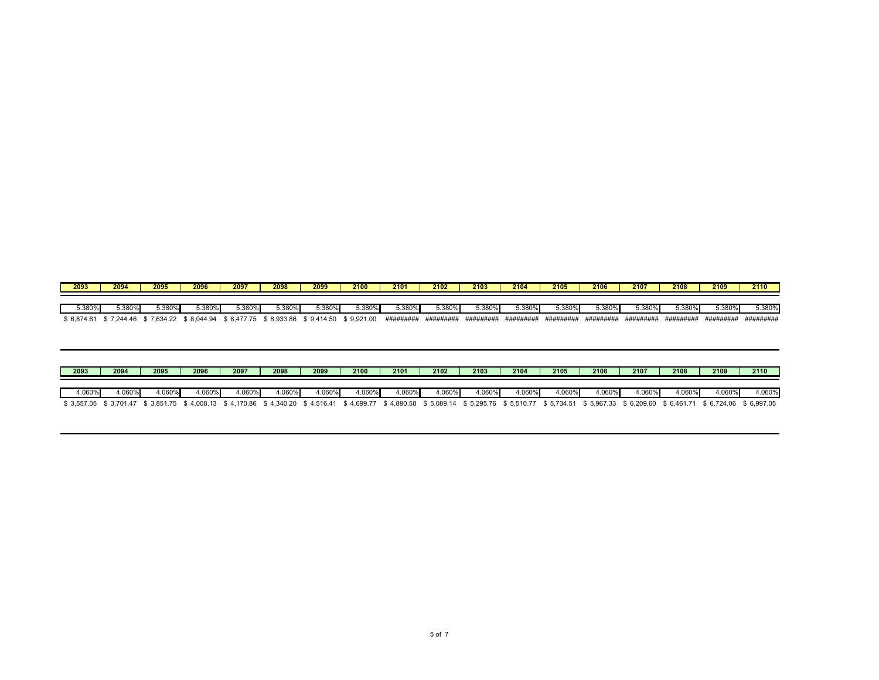| 2093       | 2094       | 2095       | 2096        | 2097                                        | 2098   | 2099      | 2100   | 2101      | 2102      | 2103      | 2104      | 2105      | 2106      | 2107      | 2108      | 2109       | 2110      |
|------------|------------|------------|-------------|---------------------------------------------|--------|-----------|--------|-----------|-----------|-----------|-----------|-----------|-----------|-----------|-----------|------------|-----------|
|            |            |            |             |                                             |        |           |        |           |           |           |           |           |           |           |           |            |           |
| 5.380%     | 5.380%     | 5.380%     | 5.380%      | 5.380%                                      | 5.380% | $5.380\%$ | 5.380% | $5.380\%$ | 5.380%    | 5.380%    | 5.380%    | 5.380%    | -380%، د  | 5.380%    | ა.380%    | ა. $380\%$ | 5.380%    |
| \$6.874.61 | } 7.244.46 | \$7.634.22 | \$ 8,044.94 | \$8,477.75 \$8,933.86 \$9,414.50 \$9,921.00 |        |           |        | ######### | ######### | ######### | ######### | ######### | ######### | ######### | ######### | #########  | ######### |

| 2093   | 2094    | 2095   | 2096                                                                                                                                                                                                  | 2097   | 2098   | 2099   | 2100   | 2101   | 2102   | 2103  | 2104          | 2105   | 2106    | 2107   | 2108   | 2109   | 2110  |
|--------|---------|--------|-------------------------------------------------------------------------------------------------------------------------------------------------------------------------------------------------------|--------|--------|--------|--------|--------|--------|-------|---------------|--------|---------|--------|--------|--------|-------|
| 4.060% | 4.060%l | 1.060% | .060%                                                                                                                                                                                                 | 1.060% | 1.060% | 4.060% | 4.060% | 4.060% | 4.060% | .060% | <b>1.060%</b> | 4.060% | 4.060%l | 4.060% | 4.060% | 4.060% | .060% |
|        |         |        | \$3,557.05 \$3,701.47 \$3,851.75 \$4,008.13 \$4,170.86 \$4,340.20 \$4,516.41 \$4,699.77 \$4,890.58 \$5,089.14 \$5,295.76 \$5,510.77 \$5,734.51 \$5,967.33 \$6,209.60 \$6,461.71 \$6,724.06 \$6,997.05 |        |        |        |        |        |        |       |               |        |         |        |        |        |       |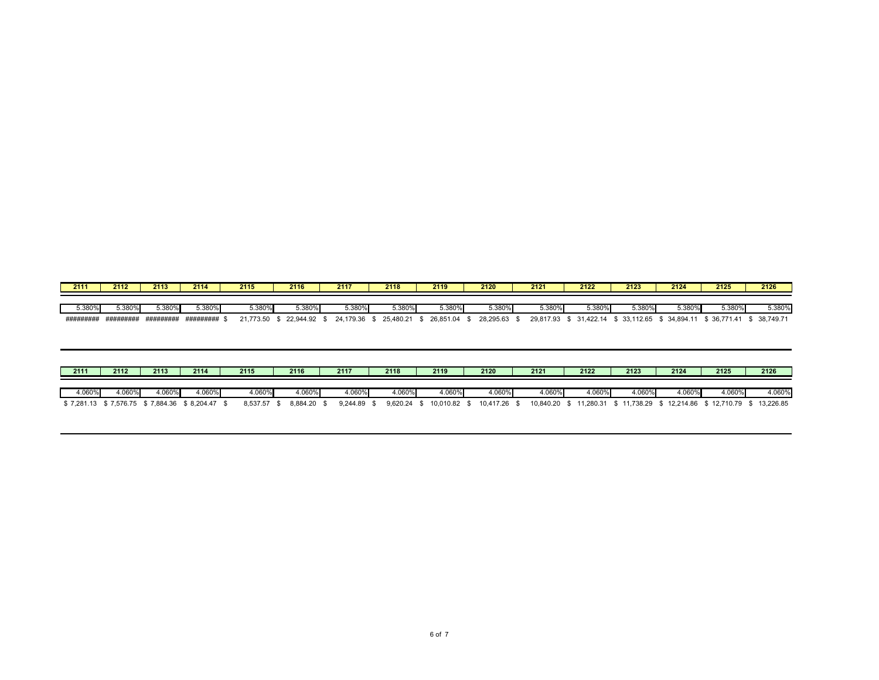| 2111     | 2112      | 2113      | 2114      | 2115      | 2116      | 2117      | 2118      | 2119      | 2120      | 2121      | 2122      | 2123            | 2124      | 2125        | 2126      |
|----------|-----------|-----------|-----------|-----------|-----------|-----------|-----------|-----------|-----------|-----------|-----------|-----------------|-----------|-------------|-----------|
|          |           |           |           |           |           |           |           |           |           |           |           |                 |           |             |           |
| 5.380%   | 5.380%    | 5.380%    | 5.380%    | 5.380%    | 5.380%    | 5.380%    | 5.380%    | 5.380%    | 3.380%    | $3.380\%$ | 5.380%    | 5.380%          | 5.380%    | 5.380%      | 5.380%    |
| ######## | ######### | ######### | ######### | 21.773.50 | 22,944.92 | 24.179.36 | 25.480.21 | 26.851.04 | 28.295.63 | 29,817.93 | 31,422.14 | 33,112.65<br>ה. | 34.894.11 | 36,771<br>A | 38.749.71 |

| 2111   | 2112                                        | 2113    | 2114   | 2115     | 2116        | 2117     | 2118          | 2119         | 2120         | 2121   | 2122  | 2123   | 2124                                                                       | 2125   | 2126  |
|--------|---------------------------------------------|---------|--------|----------|-------------|----------|---------------|--------------|--------------|--------|-------|--------|----------------------------------------------------------------------------|--------|-------|
| +.060% | 4.060%                                      | 4.060%I | 4.060% | 1.060%   | .060%       | $.060\%$ | 4.060%        | 1.060%l      | 1.060%       | 4.060% | .060% | 4.060% | 4.060%                                                                     | 4.060% | .060% |
|        | \$7,281.13 \$7,576.75 \$7,884.36 \$8,204.47 |         |        | 8.537.57 | 8.884.20 \$ | 9.244.89 | $9.620.24$ \$ | 10.010.82 \$ | 10.417.26 \$ |        |       |        | 10,840.20 \$ 11,280.31 \$ 11,738.29 \$ 12,214.86 \$ 12,710.79 \$ 13,226.85 |        |       |